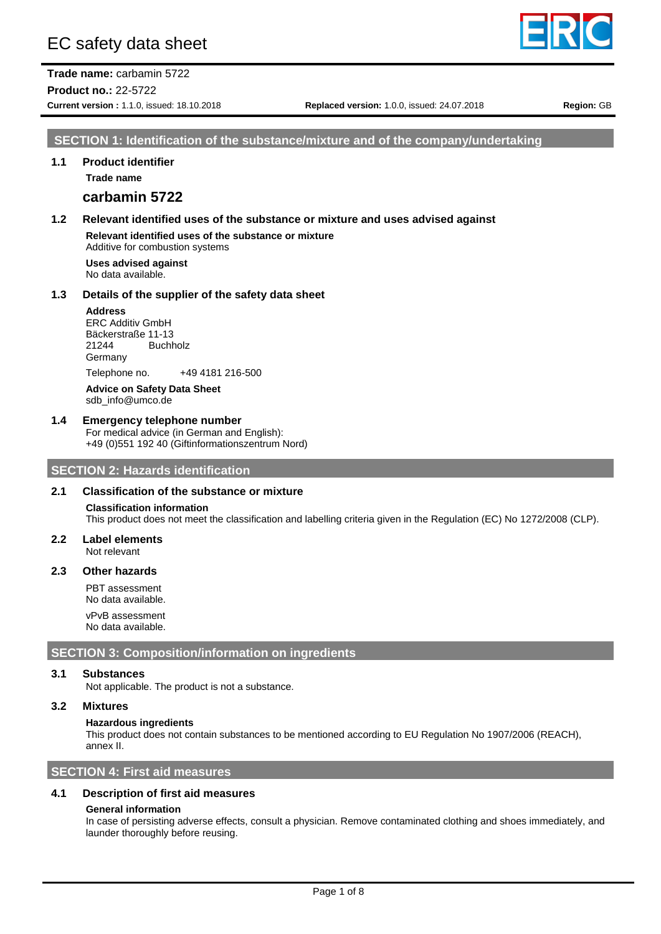# EC safety data sheet

**Trade name:** carbamin 5722 **Product no.:** 22-5722

### **SECTION 1: Identification of the substance/mixture and of the company/undertaking**

#### **1.1 Product identifier**

**Trade name**

### **carbamin 5722**

### **1.2 Relevant identified uses of the substance or mixture and uses advised against**

**Relevant identified uses of the substance or mixture** Additive for combustion systems

**Uses advised against** No data available.

#### **1.3 Details of the supplier of the safety data sheet**

#### **Address**

ERC Additiv GmbH Bäckerstraße 11-13 21244 Buchholz Germany Telephone no. +49 4181 216-500 **Advice on Safety Data Sheet**

sdb\_info@umco.de

## **1.4 Emergency telephone number**

For medical advice (in German and English): +49 (0)551 192 40 (Giftinformationszentrum Nord)

### **SECTION 2: Hazards identification**

### **2.1 Classification of the substance or mixture**

#### **Classification information** This product does not meet the classification and labelling criteria given in the Regulation (EC) No 1272/2008 (CLP).

**2.2 Label elements** Not relevant

#### **2.3 Other hazards**

PBT assessment No data available. vPvB assessment No data available.

#### **SECTION 3: Composition/information on ingredients**

#### **3.1 Substances**

Not applicable. The product is not a substance.

#### **3.2 Mixtures**

#### **Hazardous ingredients**

This product does not contain substances to be mentioned according to EU Regulation No 1907/2006 (REACH), annex II.

### **SECTION 4: First aid measures**

### **4.1 Description of first aid measures**

#### **General information**

In case of persisting adverse effects, consult a physician. Remove contaminated clothing and shoes immediately, and launder thoroughly before reusing.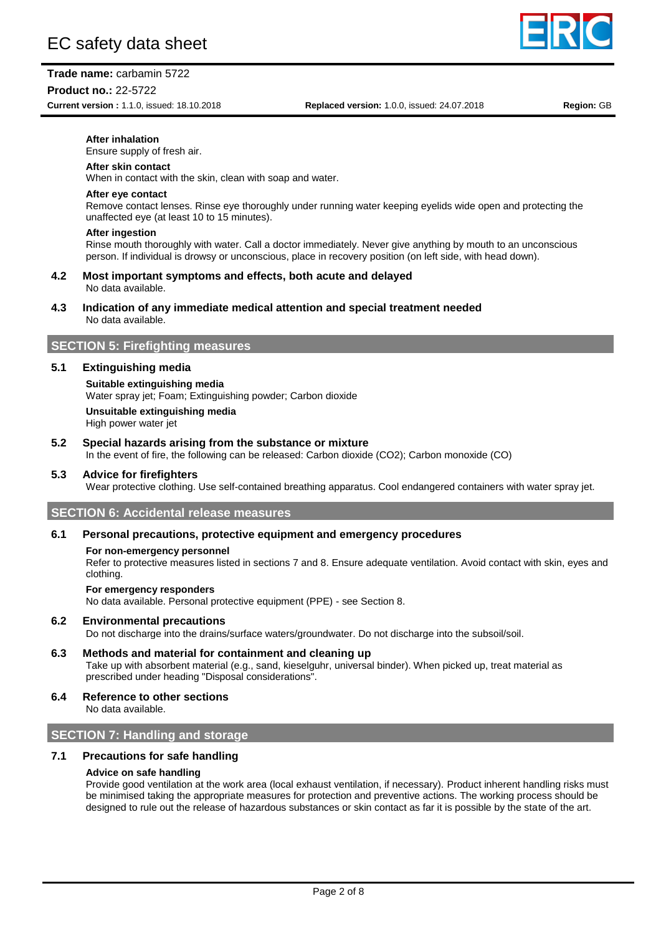

### **Product no.:** 22-5722

**Current version :** 1.1.0, issued: 18.10.2018 **Replaced version:** 1.0.0, issued: 24.07.2018 **Region:** GB

#### **After inhalation**

Ensure supply of fresh air.

#### **After skin contact**

When in contact with the skin, clean with soap and water.

#### **After eye contact**

Remove contact lenses. Rinse eye thoroughly under running water keeping eyelids wide open and protecting the unaffected eye (at least 10 to 15 minutes).

#### **After ingestion**

Rinse mouth thoroughly with water. Call a doctor immediately. Never give anything by mouth to an unconscious person. If individual is drowsy or unconscious, place in recovery position (on left side, with head down).

#### **4.2 Most important symptoms and effects, both acute and delayed** No data available.

# **4.3 Indication of any immediate medical attention and special treatment needed**

No data available.

## **SECTION 5: Firefighting measures**

#### **5.1 Extinguishing media**

**Suitable extinguishing media** Water spray jet; Foam; Extinguishing powder; Carbon dioxide **Unsuitable extinguishing media** High power water jet

### **5.2 Special hazards arising from the substance or mixture**

In the event of fire, the following can be released: Carbon dioxide (CO2); Carbon monoxide (CO)

#### **5.3 Advice for firefighters**

Wear protective clothing. Use self-contained breathing apparatus. Cool endangered containers with water spray jet.

### **SECTION 6: Accidental release measures**

### **6.1 Personal precautions, protective equipment and emergency procedures**

#### **For non-emergency personnel**

Refer to protective measures listed in sections 7 and 8. Ensure adequate ventilation. Avoid contact with skin, eyes and clothing.

#### **For emergency responders**

No data available. Personal protective equipment (PPE) - see Section 8.

#### **6.2 Environmental precautions**

Do not discharge into the drains/surface waters/groundwater. Do not discharge into the subsoil/soil.

### **6.3 Methods and material for containment and cleaning up**

Take up with absorbent material (e.g., sand, kieselguhr, universal binder). When picked up, treat material as prescribed under heading "Disposal considerations".

# **6.4 Reference to other sections**

No data available.

## **SECTION 7: Handling and storage**

### **7.1 Precautions for safe handling**

#### **Advice on safe handling**

Provide good ventilation at the work area (local exhaust ventilation, if necessary). Product inherent handling risks must be minimised taking the appropriate measures for protection and preventive actions. The working process should be designed to rule out the release of hazardous substances or skin contact as far it is possible by the state of the art.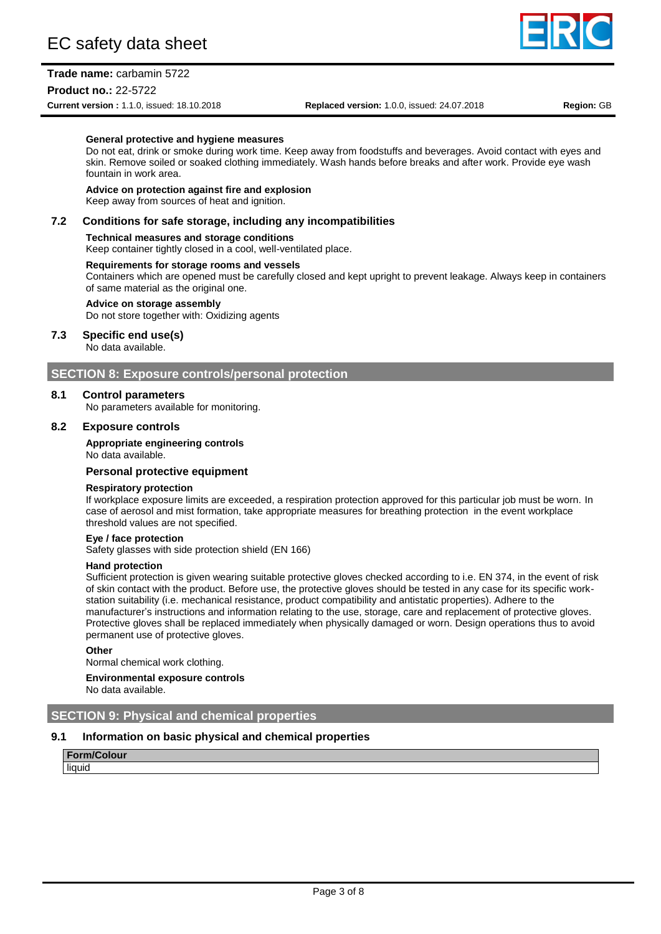### **Trade name:** carbamin 5722

#### **Product no.:** 22-5722

**Current version :** 1.1.0, issued: 18.10.2018 **Replaced version:** 1.0.0, issued: 24.07.2018 **Region:** GB

#### **General protective and hygiene measures**

Do not eat, drink or smoke during work time. Keep away from foodstuffs and beverages. Avoid contact with eyes and skin. Remove soiled or soaked clothing immediately. Wash hands before breaks and after work. Provide eye wash fountain in work area.

### **Advice on protection against fire and explosion**

Keep away from sources of heat and ignition.

#### **7.2 Conditions for safe storage, including any incompatibilities**

#### **Technical measures and storage conditions**

Keep container tightly closed in a cool, well-ventilated place.

#### **Requirements for storage rooms and vessels**

Containers which are opened must be carefully closed and kept upright to prevent leakage. Always keep in containers of same material as the original one.

#### **Advice on storage assembly**

Do not store together with: Oxidizing agents

### **7.3 Specific end use(s)**

No data available.

### **SECTION 8: Exposure controls/personal protection**

#### **8.1 Control parameters**

No parameters available for monitoring.

#### **8.2 Exposure controls**

#### **Appropriate engineering controls**

No data available.

### **Personal protective equipment**

#### **Respiratory protection**

If workplace exposure limits are exceeded, a respiration protection approved for this particular job must be worn. In case of aerosol and mist formation, take appropriate measures for breathing protection in the event workplace threshold values are not specified.

#### **Eye / face protection**

Safety glasses with side protection shield (EN 166)

#### **Hand protection**

Sufficient protection is given wearing suitable protective gloves checked according to i.e. EN 374, in the event of risk of skin contact with the product. Before use, the protective gloves should be tested in any case for its specific workstation suitability (i.e. mechanical resistance, product compatibility and antistatic properties). Adhere to the manufacturer's instructions and information relating to the use, storage, care and replacement of protective gloves. Protective gloves shall be replaced immediately when physically damaged or worn. Design operations thus to avoid permanent use of protective gloves.

#### **Other**

Normal chemical work clothing.

#### **Environmental exposure controls**

No data available.

### **SECTION 9: Physical and chemical properties**

#### **9.1 Information on basic physical and chemical properties**

**Form/Colour** liquid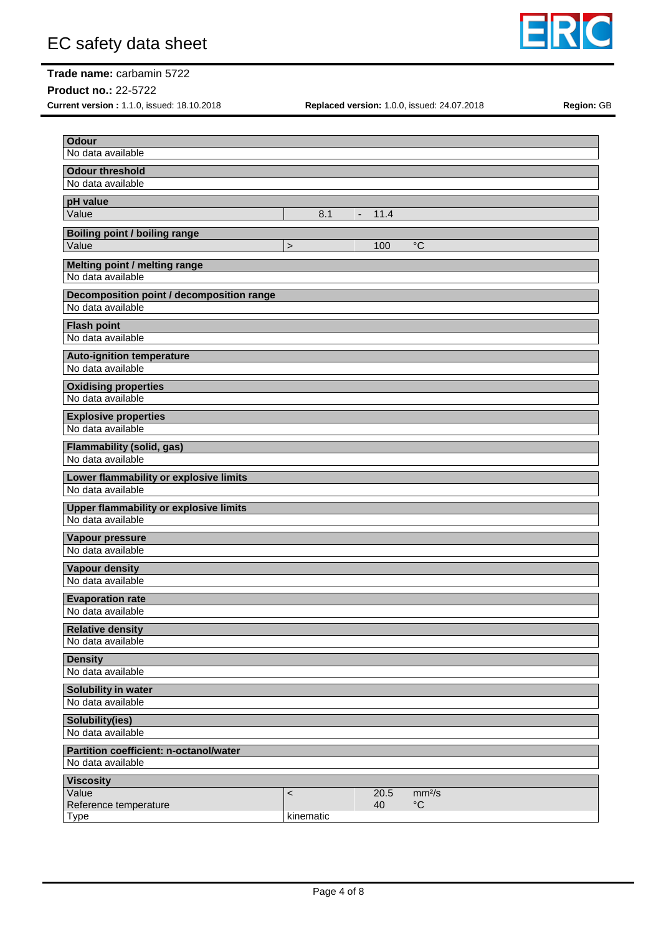

# **Trade name:** carbamin 5722

**Product no.:** 22-5722

**Current version :** 1.1.0, issued: 18.10.2018 **Replaced version:** 1.0.0, issued: 24.07.2018 **Region:** GB

| <b>Odour</b>                                                |           |               |      |                    |
|-------------------------------------------------------------|-----------|---------------|------|--------------------|
| No data available                                           |           |               |      |                    |
| <b>Odour threshold</b>                                      |           |               |      |                    |
| No data available                                           |           |               |      |                    |
| pH value                                                    |           |               |      |                    |
| Value                                                       |           | 8.1<br>$\sim$ | 11.4 |                    |
| <b>Boiling point / boiling range</b>                        |           |               |      |                    |
| Value                                                       | $\,$      |               | 100  | $^{\circ}C$        |
| Melting point / melting range                               |           |               |      |                    |
| No data available                                           |           |               |      |                    |
| <b>Decomposition point / decomposition range</b>            |           |               |      |                    |
| No data available                                           |           |               |      |                    |
| <b>Flash point</b><br>No data available                     |           |               |      |                    |
|                                                             |           |               |      |                    |
| <b>Auto-ignition temperature</b><br>No data available       |           |               |      |                    |
|                                                             |           |               |      |                    |
| <b>Oxidising properties</b><br>No data available            |           |               |      |                    |
|                                                             |           |               |      |                    |
| <b>Explosive properties</b><br>No data available            |           |               |      |                    |
| <b>Flammability (solid, gas)</b>                            |           |               |      |                    |
| No data available                                           |           |               |      |                    |
| Lower flammability or explosive limits                      |           |               |      |                    |
| No data available                                           |           |               |      |                    |
| <b>Upper flammability or explosive limits</b>               |           |               |      |                    |
| No data available                                           |           |               |      |                    |
| Vapour pressure                                             |           |               |      |                    |
| No data available                                           |           |               |      |                    |
| <b>Vapour density</b>                                       |           |               |      |                    |
| No data available                                           |           |               |      |                    |
| <b>Evaporation rate</b>                                     |           |               |      |                    |
| No data available                                           |           |               |      |                    |
| <b>Relative density</b>                                     |           |               |      |                    |
| No data available                                           |           |               |      |                    |
| <b>Density</b>                                              |           |               |      |                    |
| No data available                                           |           |               |      |                    |
| Solubility in water                                         |           |               |      |                    |
| No data available                                           |           |               |      |                    |
| Solubility(ies)<br>No data available                        |           |               |      |                    |
|                                                             |           |               |      |                    |
| Partition coefficient: n-octanol/water<br>No data available |           |               |      |                    |
| <b>Viscosity</b>                                            |           |               |      |                    |
| Value                                                       | $\,<$     |               | 20.5 | mm <sup>2</sup> /s |
| Reference temperature                                       |           |               | 40   | $\rm ^{\circ}C$    |
| <b>Type</b>                                                 | kinematic |               |      |                    |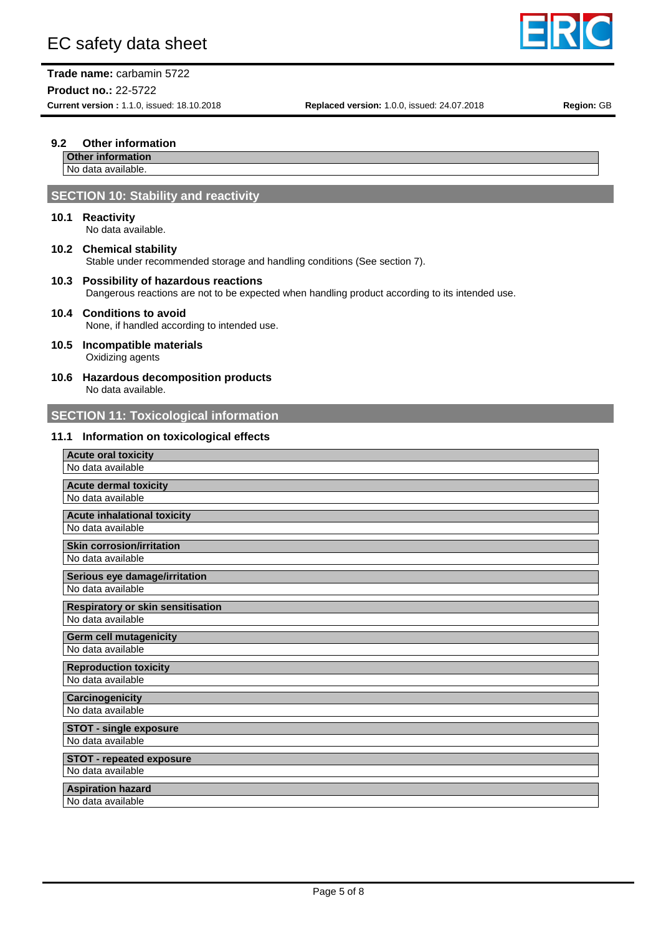

**Trade name:** carbamin 5722 **Product no.:** 22-5722

**Current version :** 1.1.0, issued: 18.10.2018 **Replaced version:** 1.0.0, issued: 24.07.2018 **Region:** GB

### **9.2 Other information**

# **Other information**

No data available.

### **SECTION 10: Stability and reactivity**

### **10.1 Reactivity**

No data available.

- **10.2 Chemical stability** Stable under recommended storage and handling conditions (See section 7).
- **10.3 Possibility of hazardous reactions** Dangerous reactions are not to be expected when handling product according to its intended use.

#### **10.4 Conditions to avoid** None, if handled according to intended use.

- **10.5 Incompatible materials** Oxidizing agents
- **10.6 Hazardous decomposition products** No data available.

### **SECTION 11: Toxicological information**

### **11.1 Information on toxicological effects**

| <b>Acute oral toxicity</b>                         |
|----------------------------------------------------|
| No data available                                  |
| <b>Acute dermal toxicity</b>                       |
| No data available                                  |
| <b>Acute inhalational toxicity</b>                 |
| No data available                                  |
| <b>Skin corrosion/irritation</b>                   |
| No data available                                  |
| Serious eye damage/irritation                      |
| No data available                                  |
| <b>Respiratory or skin sensitisation</b>           |
| No data available                                  |
|                                                    |
| Germ cell mutagenicity                             |
| No data available                                  |
| <b>Reproduction toxicity</b>                       |
| No data available                                  |
| <b>Carcinogenicity</b>                             |
| No data available                                  |
|                                                    |
| <b>STOT - single exposure</b><br>No data available |
| <b>STOT - repeated exposure</b>                    |
| No data available                                  |
| <b>Aspiration hazard</b>                           |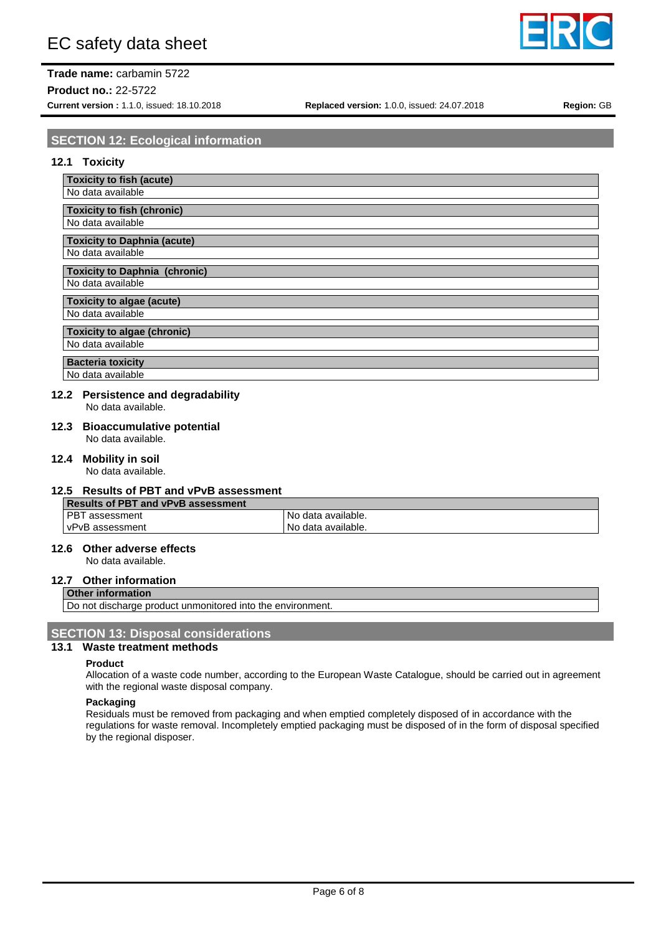# **Trade name:** carbamin 5722

**Product no.:** 22-5722

## **SECTION 12: Ecological information**

#### **12.1 Toxicity**

| <b>Toxicity to fish (acute)</b> |  |
|---------------------------------|--|
|                                 |  |

No data available

**Toxicity to fish (chronic)** No data available

# **Toxicity to Daphnia (acute)**

No data available

#### **Toxicity to Daphnia (chronic)** No data available

**Toxicity to algae (acute)** No data available

# **Toxicity to algae (chronic)**

No data available

### **Bacteria toxicity**

No data available

### **12.2 Persistence and degradability**

No data available.

#### **12.3 Bioaccumulative potential** No data available.

### **12.4 Mobility in soil**

No data available.

### **12.5 Results of PBT and vPvB assessment**

| Results of PBT and vPvB assessment |                    |  |  |  |
|------------------------------------|--------------------|--|--|--|
| l PBT assessment                   | No data available. |  |  |  |
| l vPvB assessment                  | No data available. |  |  |  |

### **12.6 Other adverse effects**

No data available.

### **12.7 Other information**

**Other information**

Do not discharge product unmonitored into the environment.

### **SECTION 13: Disposal considerations**

### **13.1 Waste treatment methods**

#### **Product**

Allocation of a waste code number, according to the European Waste Catalogue, should be carried out in agreement with the regional waste disposal company.

#### **Packaging**

Residuals must be removed from packaging and when emptied completely disposed of in accordance with the regulations for waste removal. Incompletely emptied packaging must be disposed of in the form of disposal specified by the regional disposer.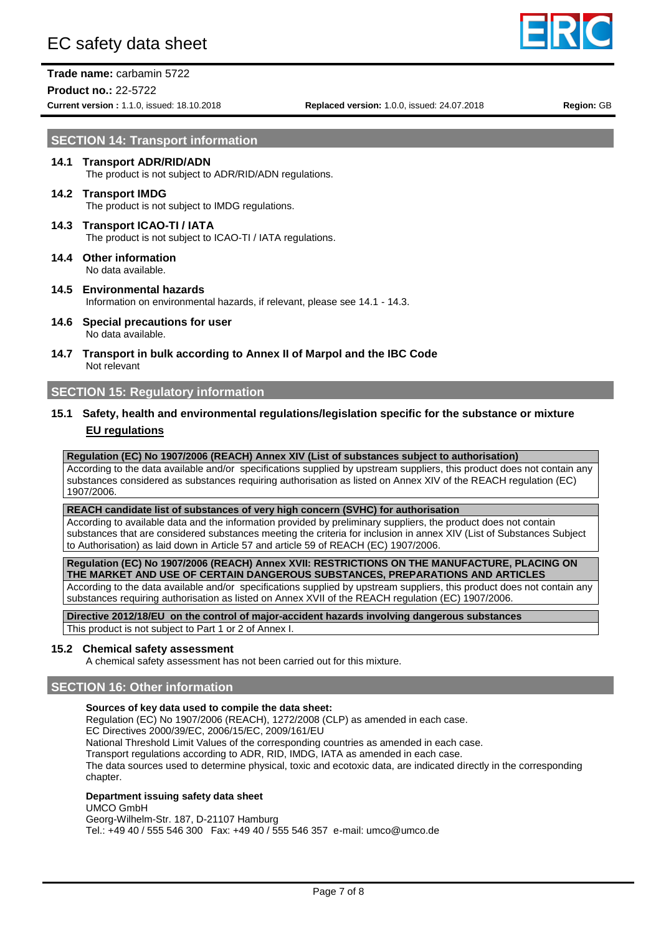# EC safety data sheet

**Product no.:** 22-5722





**Current version :** 1.1.0, issued: 18.10.2018 **Replaced version:** 1.0.0, issued: 24.07.2018 **Region:** GB

# **SECTION 14: Transport information**

## **14.1 Transport ADR/RID/ADN** The product is not subject to ADR/RID/ADN regulations.

#### **14.2 Transport IMDG** The product is not subject to IMDG regulations.

- **14.3 Transport ICAO-TI / IATA** The product is not subject to ICAO-TI / IATA regulations.
- **14.4 Other information** No data available.
- **14.5 Environmental hazards** Information on environmental hazards, if relevant, please see 14.1 - 14.3.
- **14.6 Special precautions for user** No data available.
- **14.7 Transport in bulk according to Annex II of Marpol and the IBC Code** Not relevant

### **SECTION 15: Regulatory information**

### **15.1 Safety, health and environmental regulations/legislation specific for the substance or mixture EU regulations**

#### **Regulation (EC) No 1907/2006 (REACH) Annex XIV (List of substances subject to authorisation)**

According to the data available and/or specifications supplied by upstream suppliers, this product does not contain any substances considered as substances requiring authorisation as listed on Annex XIV of the REACH regulation (EC) 1907/2006.

#### **REACH candidate list of substances of very high concern (SVHC) for authorisation**

According to available data and the information provided by preliminary suppliers, the product does not contain substances that are considered substances meeting the criteria for inclusion in annex XIV (List of Substances Subject to Authorisation) as laid down in Article 57 and article 59 of REACH (EC) 1907/2006.

**Regulation (EC) No 1907/2006 (REACH) Annex XVII: RESTRICTIONS ON THE MANUFACTURE, PLACING ON THE MARKET AND USE OF CERTAIN DANGEROUS SUBSTANCES, PREPARATIONS AND ARTICLES**

According to the data available and/or specifications supplied by upstream suppliers, this product does not contain any substances requiring authorisation as listed on Annex XVII of the REACH regulation (EC) 1907/2006.

**Directive 2012/18/EU on the control of major-accident hazards involving dangerous substances**

This product is not subject to Part 1 or 2 of Annex I.

#### **15.2 Chemical safety assessment**

A chemical safety assessment has not been carried out for this mixture.

### **SECTION 16: Other information**

#### **Sources of key data used to compile the data sheet:**

Regulation (EC) No 1907/2006 (REACH), 1272/2008 (CLP) as amended in each case.

EC Directives 2000/39/EC, 2006/15/EC, 2009/161/EU

National Threshold Limit Values of the corresponding countries as amended in each case.

Transport regulations according to ADR, RID, IMDG, IATA as amended in each case.

The data sources used to determine physical, toxic and ecotoxic data, are indicated directly in the corresponding chapter.

#### **Department issuing safety data sheet**

UMCO GmbH

Georg-Wilhelm-Str. 187, D-21107 Hamburg

Tel.: +49 40 / 555 546 300 Fax: +49 40 / 555 546 357 e-mail: umco@umco.de